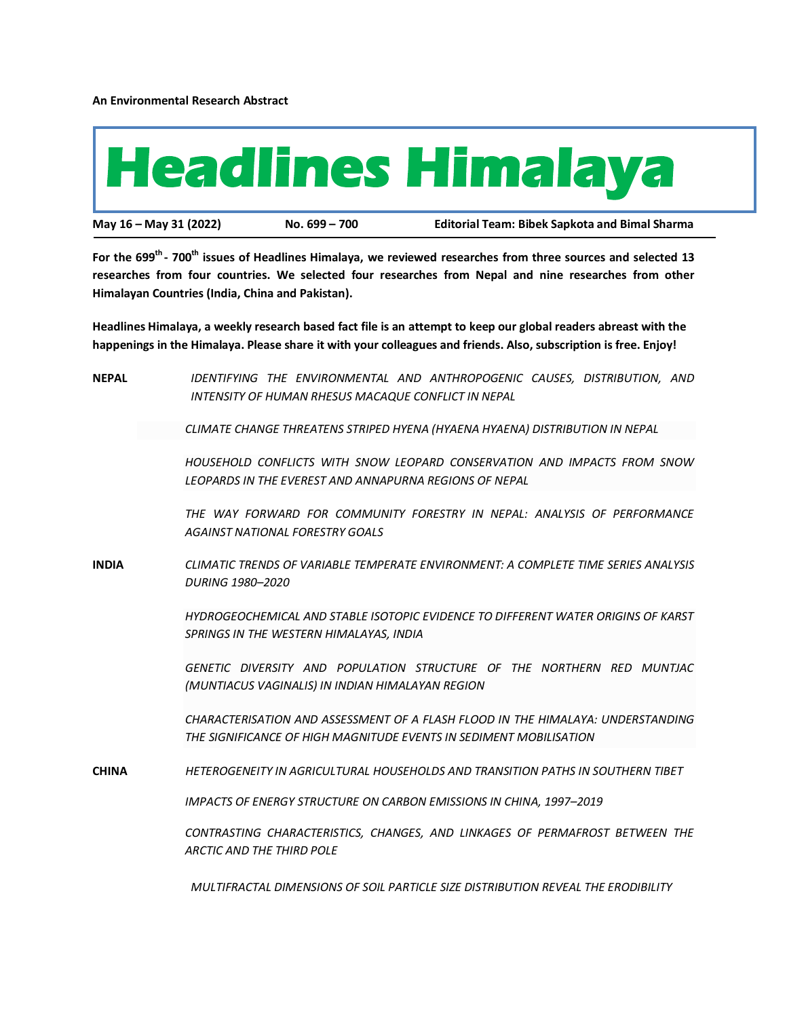**An Environmental Research Abstract**



**For the 699th - 700th issues of Headlines Himalaya, we reviewed researches from three sources and selected 13 researches from four countries. We selected four researches from Nepal and nine researches from other Himalayan Countries (India, China and Pakistan).**

**Headlines Himalaya, a weekly research based fact file is an attempt to keep our global readers abreast with the happenings in the Himalaya. Please share it with your colleagues and friends. Also, subscription is free. Enjoy!**

| <b>NEPAL</b> | IDENTIFYING THE ENVIRONMENTAL AND ANTHROPOGENIC CAUSES, DISTRIBUTION, AND<br>INTENSITY OF HUMAN RHESUS MACAQUE CONFLICT IN NEPAL                      |
|--------------|-------------------------------------------------------------------------------------------------------------------------------------------------------|
|              | CLIMATE CHANGE THREATENS STRIPED HYENA (HYAENA HYAENA) DISTRIBUTION IN NEPAL                                                                          |
|              | HOUSEHOLD CONFLICTS WITH SNOW LEOPARD CONSERVATION AND IMPACTS FROM SNOW<br>LEOPARDS IN THE EVEREST AND ANNAPURNA REGIONS OF NEPAL                    |
|              | THE WAY FORWARD FOR COMMUNITY FORESTRY IN NEPAL: ANALYSIS OF PERFORMANCE<br><b>AGAINST NATIONAL FORESTRY GOALS</b>                                    |
| <b>INDIA</b> | CLIMATIC TRENDS OF VARIABLE TEMPERATE ENVIRONMENT: A COMPLETE TIME SERIES ANALYSIS<br><b>DURING 1980-2020</b>                                         |
|              | HYDROGEOCHEMICAL AND STABLE ISOTOPIC EVIDENCE TO DIFFERENT WATER ORIGINS OF KARST<br>SPRINGS IN THE WESTERN HIMALAYAS, INDIA                          |
|              | GENETIC DIVERSITY AND POPULATION STRUCTURE OF THE NORTHERN RED MUNTJAC<br>(MUNTIACUS VAGINALIS) IN INDIAN HIMALAYAN REGION                            |
|              | CHARACTERISATION AND ASSESSMENT OF A FLASH FLOOD IN THE HIMALAYA: UNDERSTANDING<br>THE SIGNIFICANCE OF HIGH MAGNITUDE EVENTS IN SEDIMENT MOBILISATION |
| <b>CHINA</b> | HETEROGENEITY IN AGRICULTURAL HOUSEHOLDS AND TRANSITION PATHS IN SOUTHERN TIBET                                                                       |
|              | IMPACTS OF ENERGY STRUCTURE ON CARBON EMISSIONS IN CHINA, 1997-2019                                                                                   |
|              | CONTRASTING CHARACTERISTICS, CHANGES, AND LINKAGES OF PERMAFROST BETWEEN THE<br><b>ARCTIC AND THE THIRD POLE</b>                                      |
|              |                                                                                                                                                       |

*MULTIFRACTAL DIMENSIONS OF SOIL PARTICLE SIZE DISTRIBUTION REVEAL THE ERODIBILITY*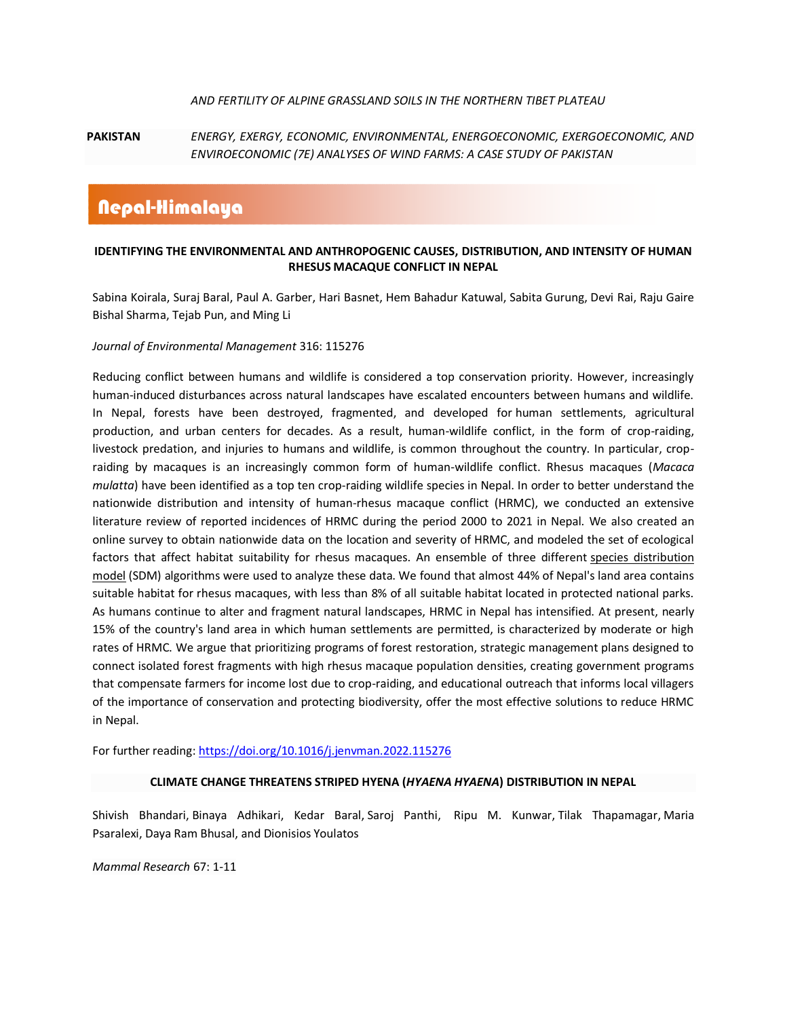### *AND FERTILITY OF ALPINE GRASSLAND SOILS IN THE NORTHERN TIBET PLATEAU*

## **PAKISTAN** *ENERGY, EXERGY, ECONOMIC, ENVIRONMENTAL, ENERGOECONOMIC, EXERGOECONOMIC, AND ENVIROECONOMIC (7E) ANALYSES OF WIND FARMS: A CASE STUDY OF PAKISTAN*

# Nepal-Himalaya

### **IDENTIFYING THE ENVIRONMENTAL AND ANTHROPOGENIC CAUSES, DISTRIBUTION, AND INTENSITY OF HUMAN RHESUS MACAQUE CONFLICT IN NEPAL**

[Sabina Koirala, Suraj Baral, Paul A. Garber, Hari Basnet, Hem Bahadur Katuwal, Sabita Gurung, Devi R](https://www.sciencedirect.com/science/article/pii/S0301479722008490#!)ai, Raju [Gaire](https://www.sciencedirect.com/science/article/pii/S0301479722008490#!)  [Bishal Sharma](https://www.sciencedirect.com/science/article/pii/S0301479722008490#!), [Tejab Pun,](https://www.sciencedirect.com/science/article/pii/S0301479722008490#!) an[d Ming Li](https://www.sciencedirect.com/science/article/pii/S0301479722008490#!)

### *Journal of Environmental Management* 316: 115276

Reducing conflict between humans and wildlife is considered a top conservation priority. However, increasingly human-induced disturbances across natural landscapes have escalated encounters between humans and wildlife. In Nepal, forests have been destroyed, fragmented, and developed for [human settlements,](https://www.sciencedirect.com/topics/social-sciences/human-settlements) agricultural production, and urban centers for decades. As a result, human-wildlife conflict, in the form of crop-raiding, livestock predation, and injuries to humans and wildlife, is common throughout the country. In particular, cropraiding by macaques is an increasingly common form of human-wildlife conflict. Rhesus macaques (*Macaca mulatta*) have been identified as a top ten crop-raiding wildlife species in Nepal. In order to better understand the nationwide distribution and intensity of human-rhesus macaque conflict (HRMC), we conducted an extensive literature review of reported incidences of HRMC during the period 2000 to 2021 in Nepal. We also created an online survey to obtain nationwide data on the location and severity of HRMC, and modeled the set of ecological factors that affect habitat suitability for rhesus macaques. An ensemble of three different species distribution [model](https://www.sciencedirect.com/topics/earth-and-planetary-sciences/environmental-niche-modeling) (SDM) algorithms were used to analyze these data. We found that almost 44% of Nepal's land area contains suitable habitat for rhesus macaques, with less than 8% of all suitable habitat located in protected national parks. As humans continue to alter and fragment natural landscapes, HRMC in Nepal has intensified. At present, nearly 15% of the country's land area in which human settlements are permitted, is characterized by moderate or high rates of HRMC. We argue that prioritizing programs of forest restoration, strategic management plans designed to connect isolated forest fragments with high rhesus macaque [population densities,](https://www.sciencedirect.com/topics/social-sciences/population-density) creating government programs that compensate farmers for income lost due to crop-raiding, and educational outreach that informs local villagers of the importance of conservation and protecting biodiversity, offer the most effective solutions to reduce HRMC in Nepal.

For further reading[: https://doi.org/10.1016/j.jenvman.2022.115276](https://doi.org/10.1016/j.jenvman.2022.115276)

### **CLIMATE CHANGE THREATENS STRIPED HYENA (***HYAENA HYAENA***) DISTRIBUTION IN NEPAL**

[Shivish Bhandari,](https://link.springer.com/article/10.1007/s13364-022-00638-2#auth-Shivish-Bhandari) Binaya [Adhikari,](https://link.springer.com/article/10.1007/s13364-022-00638-2#auth-Binaya-Adhikari) [Kedar Baral,](https://link.springer.com/article/10.1007/s13364-022-00638-2#auth-Kedar-Baral) [Saroj Panthi,](https://link.springer.com/article/10.1007/s13364-022-00638-2#auth-Saroj-Panthi) [Ripu M. Kunwar,](https://link.springer.com/article/10.1007/s13364-022-00638-2#auth-Ripu_M_-Kunwar) [Tilak Thapamagar,](https://link.springer.com/article/10.1007/s13364-022-00638-2#auth-Tilak-Thapamagar) [Maria](https://link.springer.com/article/10.1007/s13364-022-00638-2#auth-Maria-Psaralexi)  [Psaralexi,](https://link.springer.com/article/10.1007/s13364-022-00638-2#auth-Maria-Psaralexi) Daya Ram Bhusal, an[d Dionisios Youlatos](https://link.springer.com/article/10.1007/s13364-022-00638-2#auth-Dionisios-Youlatos)

*[Mammal Research](https://link.springer.com/journal/13364)* 67: 1-11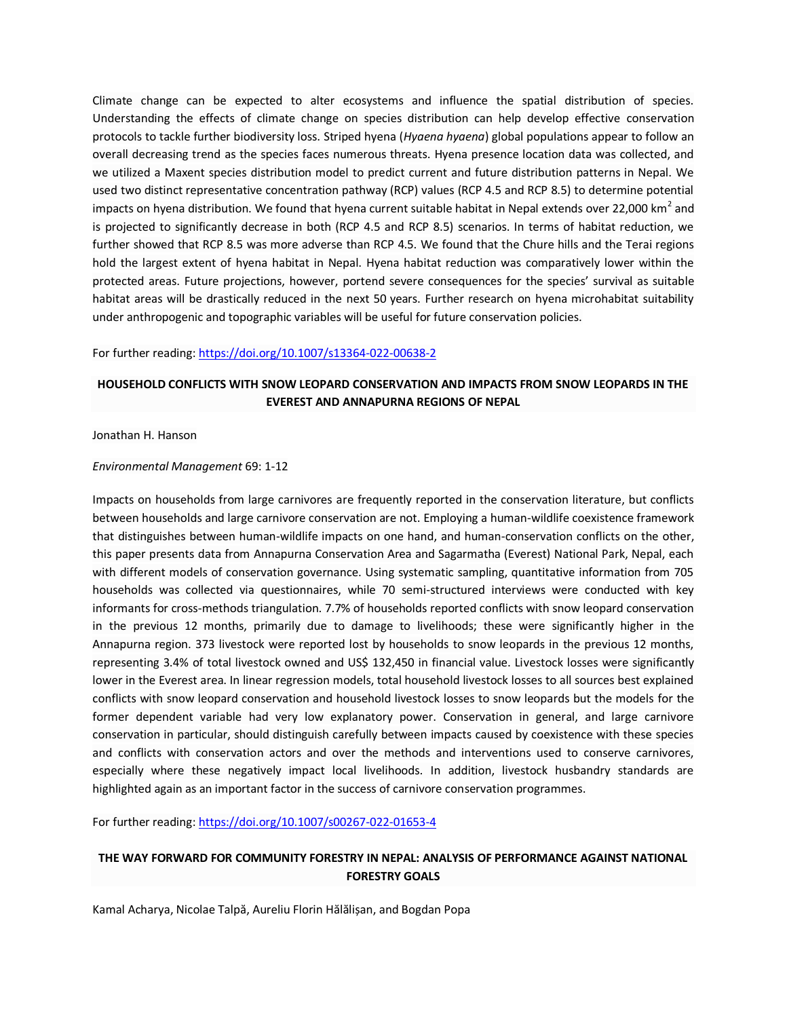Climate change can be expected to alter ecosystems and influence the spatial distribution of species. Understanding the effects of climate change on species distribution can help develop effective conservation protocols to tackle further biodiversity loss. Striped hyena (*Hyaena hyaena*) global populations appear to follow an overall decreasing trend as the species faces numerous threats. Hyena presence location data was collected, and we utilized a Maxent species distribution model to predict current and future distribution patterns in Nepal. We used two distinct representative concentration pathway (RCP) values (RCP 4.5 and RCP 8.5) to determine potential impacts on hyena distribution. We found that hyena current suitable habitat in Nepal extends over 22,000 km<sup>2</sup> and is projected to significantly decrease in both (RCP 4.5 and RCP 8.5) scenarios. In terms of habitat reduction, we further showed that RCP 8.5 was more adverse than RCP 4.5. We found that the Chure hills and the Terai regions hold the largest extent of hyena habitat in Nepal. Hyena habitat reduction was comparatively lower within the protected areas. Future projections, however, portend severe consequences for the species' survival as suitable habitat areas will be drastically reduced in the next 50 years. Further research on hyena microhabitat suitability under anthropogenic and topographic variables will be useful for future conservation policies.

### For further reading[: https://doi.org/10.1007/s13364-022-00638-2](https://doi.org/10.1007/s13364-022-00638-2)

## **HOUSEHOLD CONFLICTS WITH SNOW LEOPARD CONSERVATION AND IMPACTS FROM SNOW LEOPARDS IN THE EVEREST AND ANNAPURNA REGIONS OF NEPAL**

[Jonathan H. Hanson](https://link.springer.com/article/10.1007/s00267-022-01653-4#auth-Jonathan_H_-Hanson)

### *[Environmental Management](https://link.springer.com/journal/267)* 69: 1-12

Impacts on households from large carnivores are frequently reported in the conservation literature, but conflicts between households and large carnivore conservation are not. Employing a human-wildlife coexistence framework that distinguishes between human-wildlife impacts on one hand, and human-conservation conflicts on the other, this paper presents data from Annapurna Conservation Area and Sagarmatha (Everest) National Park, Nepal, each with different models of conservation governance. Using systematic sampling, quantitative information from 705 households was collected via questionnaires, while 70 semi-structured interviews were conducted with key informants for cross-methods triangulation. 7.7% of households reported conflicts with snow leopard conservation in the previous 12 months, primarily due to damage to livelihoods; these were significantly higher in the Annapurna region. 373 livestock were reported lost by households to snow leopards in the previous 12 months, representing 3.4% of total livestock owned and US\$ 132,450 in financial value. Livestock losses were significantly lower in the Everest area. In linear regression models, total household livestock losses to all sources best explained conflicts with snow leopard conservation and household livestock losses to snow leopards but the models for the former dependent variable had very low explanatory power. Conservation in general, and large carnivore conservation in particular, should distinguish carefully between impacts caused by coexistence with these species and conflicts with conservation actors and over the methods and interventions used to conserve carnivores, especially where these negatively impact local livelihoods. In addition, livestock husbandry standards are highlighted again as an important factor in the success of carnivore conservation programmes.

For further reading[: https://doi.org/10.1007/s00267-022-01653-4](https://doi.org/10.1007/s00267-022-01653-4)

## **THE WAY FORWARD FOR COMMUNITY FORESTRY IN NEPAL: ANALYSIS OF PERFORMANCE AGAINST NATIONAL FORESTRY GOALS**

[Kamal Acharya,](https://sciprofiles.com/profile/2128587) [Nicolae](https://sciprofiles.com/profile/1357599) Talpă[, Aureliu Florin](https://sciprofiles.com/profile/424488) Hălălișan, an[d Bogdan Popa](https://sciprofiles.com/profile/775384)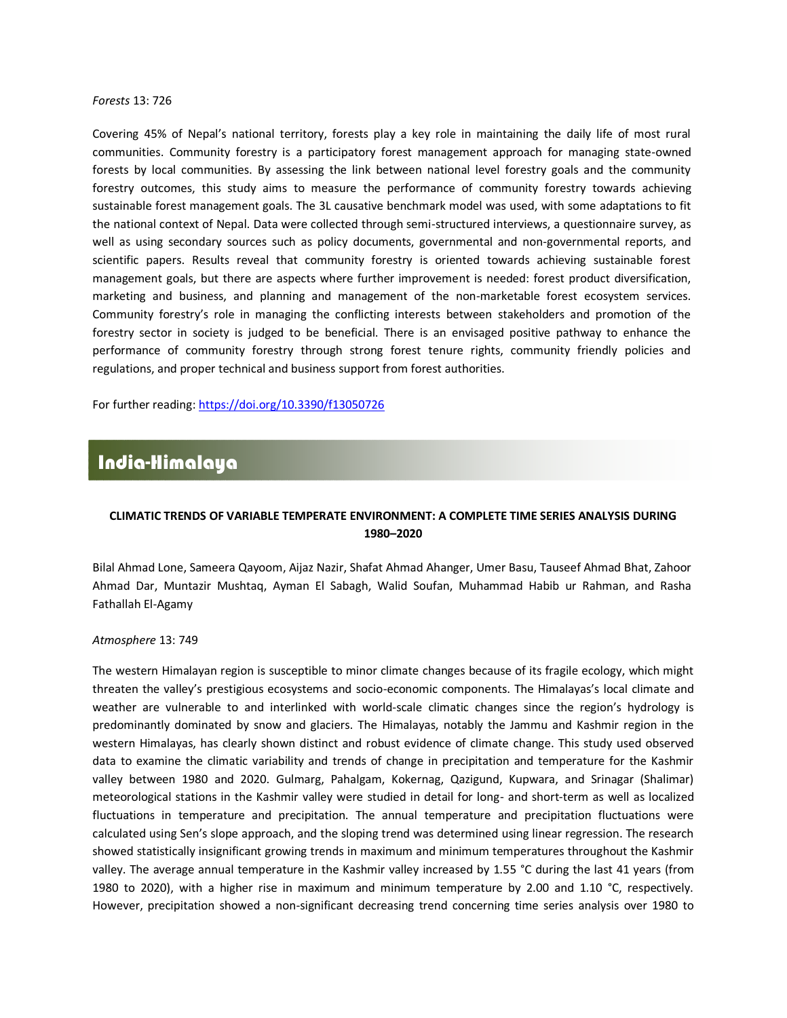#### *Forests* 13: 726

Covering 45% of Nepal's national territory, forests play a key role in maintaining the daily life of most rural communities. Community forestry is a participatory forest management approach for managing state-owned forests by local communities. By assessing the link between national level forestry goals and the community forestry outcomes, this study aims to measure the performance of community forestry towards achieving sustainable forest management goals. The 3L causative benchmark model was used, with some adaptations to fit the national context of Nepal. Data were collected through semi-structured interviews, a questionnaire survey, as well as using secondary sources such as policy documents, governmental and non-governmental reports, and scientific papers. Results reveal that community forestry is oriented towards achieving sustainable forest management goals, but there are aspects where further improvement is needed: forest product diversification, marketing and business, and planning and management of the non-marketable forest ecosystem services. Community forestry's role in managing the conflicting interests between stakeholders and promotion of the forestry sector in society is judged to be beneficial. There is an envisaged positive pathway to enhance the performance of community forestry through strong forest tenure rights, community friendly policies and regulations, and proper technical and business support from forest authorities.

For further reading[: https://doi.org/10.3390/f13050726](https://doi.org/10.3390/f13050726)

# India-Himalaya

### **CLIMATIC TRENDS OF VARIABLE TEMPERATE ENVIRONMENT: A COMPLETE TIME SERIES ANALYSIS DURING 1980–2020**

[Bilal Ahmad Lone,](https://sciprofiles.com/profile/625572) [Sameera Qayoom,](https://sciprofiles.com/profile/2027694) [Aijaz Nazir,](https://sciprofiles.com/profile/1841689) [Shafat Ahmad Ahanger,](https://sciprofiles.com/profile/2007891) [Umer Basu,](https://sciprofiles.com/profile/1543605) [Tauseef Ahmad Bhat,](https://sciprofiles.com/profile/2006802) [Zahoor](https://sciprofiles.com/profile/2027616)  [Ahmad Dar,](https://sciprofiles.com/profile/2027616) [Muntazir Mushtaq,](https://sciprofiles.com/profile/756997) [Ayman El Sabagh,](https://sciprofiles.com/profile/246147) [Walid Soufan,](https://sciprofiles.com/profile/841534) [Muhammad Habib ur Rahman,](https://sciprofiles.com/profile/114195) and [Rasha](https://sciprofiles.com/profile/author/WmpSWUVMK3BxdnlhdVN0Z1V4YWlmbWJzUUptM3YxMzlZMHQ5eittTTY3VT0=)  [Fathallah El-Agamy](https://sciprofiles.com/profile/author/WmpSWUVMK3BxdnlhdVN0Z1V4YWlmbWJzUUptM3YxMzlZMHQ5eittTTY3VT0=)

#### *Atmosphere* 13: 749

The western Himalayan region is susceptible to minor climate changes because of its fragile ecology, which might threaten the valley's prestigious ecosystems and socio-economic components. The Himalayas's local climate and weather are vulnerable to and interlinked with world-scale climatic changes since the region's hydrology is predominantly dominated by snow and glaciers. The Himalayas, notably the Jammu and Kashmir region in the western Himalayas, has clearly shown distinct and robust evidence of climate change. This study used observed data to examine the climatic variability and trends of change in precipitation and temperature for the Kashmir valley between 1980 and 2020. Gulmarg, Pahalgam, Kokernag, Qazigund, Kupwara, and Srinagar (Shalimar) meteorological stations in the Kashmir valley were studied in detail for long- and short-term as well as localized fluctuations in temperature and precipitation. The annual temperature and precipitation fluctuations were calculated using Sen's slope approach, and the sloping trend was determined using linear regression. The research showed statistically insignificant growing trends in maximum and minimum temperatures throughout the Kashmir valley. The average annual temperature in the Kashmir valley increased by 1.55 °C during the last 41 years (from 1980 to 2020), with a higher rise in maximum and minimum temperature by 2.00 and 1.10 °C, respectively. However, precipitation showed a non-significant decreasing trend concerning time series analysis over 1980 to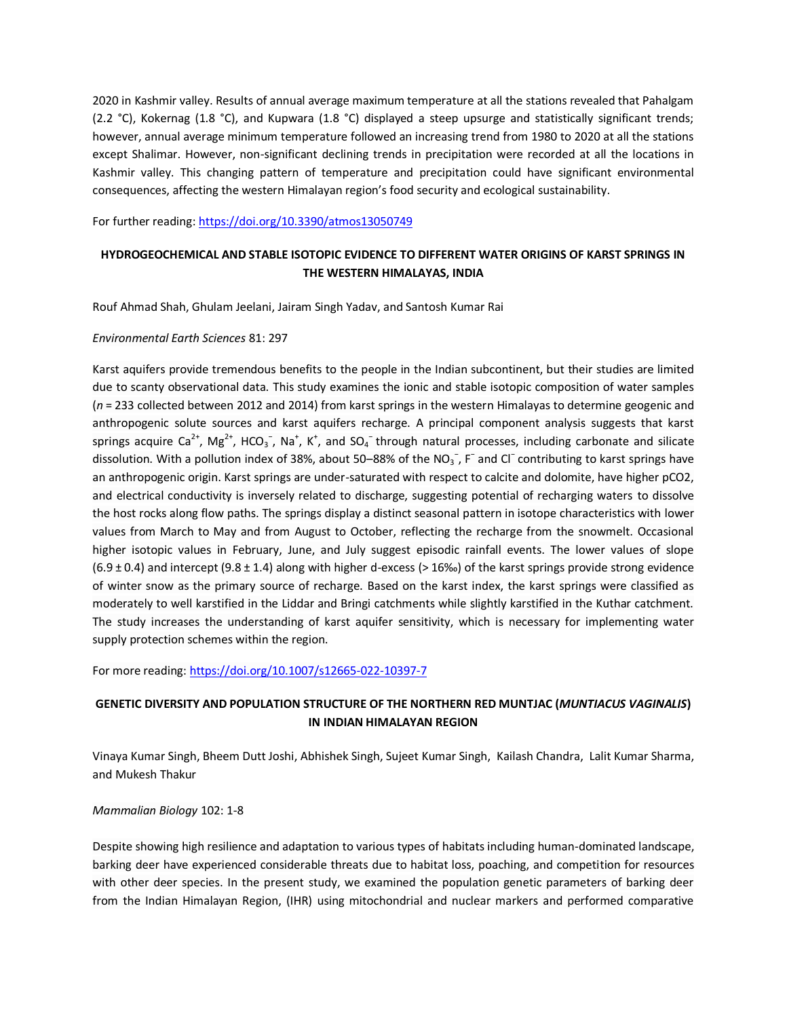2020 in Kashmir valley. Results of annual average maximum temperature at all the stations revealed that Pahalgam (2.2 °C), Kokernag (1.8 °C), and Kupwara (1.8 °C) displayed a steep upsurge and statistically significant trends; however, annual average minimum temperature followed an increasing trend from 1980 to 2020 at all the stations except Shalimar. However, non-significant declining trends in precipitation were recorded at all the locations in Kashmir valley. This changing pattern of temperature and precipitation could have significant environmental consequences, affecting the western Himalayan region's food security and ecological sustainability.

For further reading[: https://doi.org/10.3390/atmos13050749](https://doi.org/10.3390/atmos13050749)

# **HYDROGEOCHEMICAL AND STABLE ISOTOPIC EVIDENCE TO DIFFERENT WATER ORIGINS OF KARST SPRINGS IN THE WESTERN HIMALAYAS, INDIA**

[Rouf Ahmad Shah,](https://link.springer.com/article/10.1007/s12665-022-10397-7#auth-Rouf_Ahmad-Shah) [Ghulam Jeelani,](https://link.springer.com/article/10.1007/s12665-022-10397-7#auth-Ghulam-Jeelani) [Jairam Singh Yadav,](https://link.springer.com/article/10.1007/s12665-022-10397-7#auth-Jairam_Singh-Yadav) an[d Santosh Kumar Rai](https://link.springer.com/article/10.1007/s12665-022-10397-7#auth-Santosh_Kumar-Rai)

### *[Environmental Earth Sciences](https://link.springer.com/journal/12665)* 81: 297

Karst aquifers provide tremendous benefits to the people in the Indian subcontinent, but their studies are limited due to scanty observational data. This study examines the ionic and stable isotopic composition of water samples (*n* = 233 collected between 2012 and 2014) from karst springs in the western Himalayas to determine geogenic and anthropogenic solute sources and karst aquifers recharge. A principal component analysis suggests that karst springs acquire Ca<sup>2+</sup>, Mg<sup>2+</sup>, HCO<sub>3</sub><sup>-</sup>, Na<sup>+</sup>, K<sup>+</sup>, and SO<sub>4</sub><sup>-</sup>through natural processes, including carbonate and silicate dissolution. With a pollution index of 38%, about 50–88% of the NO<sub>3</sub><sup>-</sup>, F<sup>-</sup> and Cl<sup>-</sup> contributing to karst springs have an anthropogenic origin. Karst springs are under-saturated with respect to calcite and dolomite, have higher pCO2, and electrical conductivity is inversely related to discharge, suggesting potential of recharging waters to dissolve the host rocks along flow paths. The springs display a distinct seasonal pattern in isotope characteristics with lower values from March to May and from August to October, reflecting the recharge from the snowmelt. Occasional higher isotopic values in February, June, and July suggest episodic rainfall events. The lower values of slope  $(6.9 \pm 0.4)$  and intercept  $(9.8 \pm 1.4)$  along with higher d-excess (> 16‰) of the karst springs provide strong evidence of winter snow as the primary source of recharge. Based on the karst index, the karst springs were classified as moderately to well karstified in the Liddar and Bringi catchments while slightly karstified in the Kuthar catchment. The study increases the understanding of karst aquifer sensitivity, which is necessary for implementing water supply protection schemes within the region.

For more reading[: https://doi.org/10.1007/s12665-022-10397-7](https://doi.org/10.1007/s12665-022-10397-7)

# **GENETIC DIVERSITY AND POPULATION STRUCTURE OF THE NORTHERN RED MUNTJAC (***MUNTIACUS VAGINALIS***) IN INDIAN HIMALAYAN REGION**

[Vinaya Kumar Singh,](https://link.springer.com/article/10.1007/s42991-022-00254-2#auth-Vinaya_Kumar-Singh) [Bheem Dutt Joshi,](https://link.springer.com/article/10.1007/s42991-022-00254-2#auth-Bheem_Dutt-Joshi) [Abhishek Singh,](https://link.springer.com/article/10.1007/s42991-022-00254-2#auth-Abhishek-Singh) [Sujeet Kumar Singh,](https://link.springer.com/article/10.1007/s42991-022-00254-2#auth-Sujeet_Kumar-Singh) [Kailash Chandra,](https://link.springer.com/article/10.1007/s42991-022-00254-2#auth-Kailash-Chandra) [Lalit Kumar Sharma,](https://link.springer.com/article/10.1007/s42991-022-00254-2#auth-Lalit_Kumar-Sharma) an[d Mukesh Thakur](https://link.springer.com/article/10.1007/s42991-022-00254-2#auth-Mukesh-Thakur)

### *[Mammalian Biology](https://link.springer.com/journal/42991)* 102: 1-8

Despite showing high resilience and adaptation to various types of habitats including human-dominated landscape, barking deer have experienced considerable threats due to habitat loss, poaching, and competition for resources with other deer species. In the present study, we examined the population genetic parameters of barking deer from the Indian Himalayan Region, (IHR) using mitochondrial and nuclear markers and performed comparative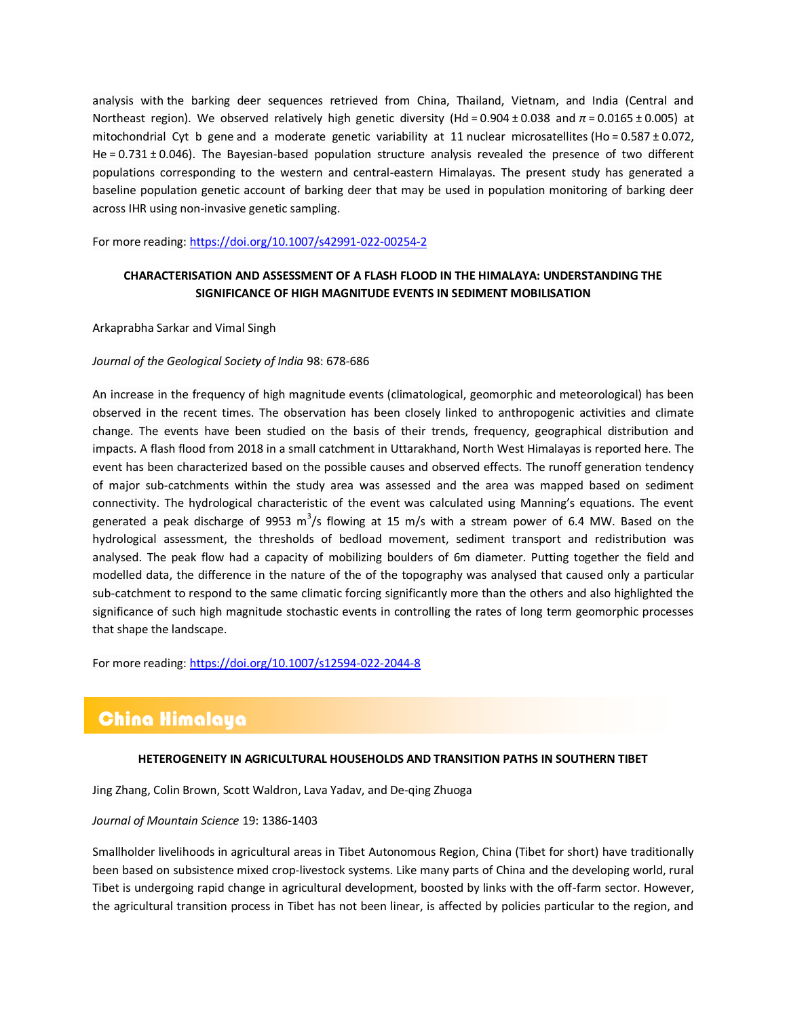analysis with the barking deer sequences retrieved from China, Thailand, Vietnam, and India (Central and Northeast region). We observed relatively high genetic diversity (Hd = 0.904 ± 0.038 and *π* = 0.0165 ± 0.005) at mitochondrial Cyt b gene and a moderate genetic variability at 11 nuclear microsatellites (Ho = 0.587 ± 0.072, He = 0.731 ± 0.046). The Bayesian-based population structure analysis revealed the presence of two different populations corresponding to the western and central-eastern Himalayas. The present study has generated a baseline population genetic account of barking deer that may be used in population monitoring of barking deer across IHR using non-invasive genetic sampling.

For more reading[: https://doi.org/10.1007/s42991-022-00254-2](https://doi.org/10.1007/s42991-022-00254-2)

# **CHARACTERISATION AND ASSESSMENT OF A FLASH FLOOD IN THE HIMALAYA: UNDERSTANDING THE SIGNIFICANCE OF HIGH MAGNITUDE EVENTS IN SEDIMENT MOBILISATION**

[Arkaprabha Sarkar](https://link.springer.com/article/10.1007/s12594-022-2044-8#auth-Arkaprabha-Sarkar) an[d Vimal Singh](https://link.springer.com/article/10.1007/s12594-022-2044-8#auth-Vimal-Singh)

### *[Journal of the Geological Society of India](https://link.springer.com/journal/12594)* 98: 678-686

An increase in the frequency of high magnitude events (climatological, geomorphic and meteorological) has been observed in the recent times. The observation has been closely linked to anthropogenic activities and climate change. The events have been studied on the basis of their trends, frequency, geographical distribution and impacts. A flash flood from 2018 in a small catchment in Uttarakhand, North West Himalayas is reported here. The event has been characterized based on the possible causes and observed effects. The runoff generation tendency of major sub-catchments within the study area was assessed and the area was mapped based on sediment connectivity. The hydrological characteristic of the event was calculated using Manning's equations. The event generated a peak discharge of 9953 m<sup>3</sup>/s flowing at 15 m/s with a stream power of 6.4 MW. Based on the hydrological assessment, the thresholds of bedload movement, sediment transport and redistribution was analysed. The peak flow had a capacity of mobilizing boulders of 6m diameter. Putting together the field and modelled data, the difference in the nature of the of the topography was analysed that caused only a particular sub-catchment to respond to the same climatic forcing significantly more than the others and also highlighted the significance of such high magnitude stochastic events in controlling the rates of long term geomorphic processes that shape the landscape.

For more reading[: https://doi.org/10.1007/s12594-022-2044-8](https://doi.org/10.1007/s12594-022-2044-8)

# China Himalaya

### **HETEROGENEITY IN AGRICULTURAL HOUSEHOLDS AND TRANSITION PATHS IN SOUTHERN TIBET**

[Jing Zhang,](https://link.springer.com/article/10.1007/s11629-021-7154-z#auth-Jing-Zhang) [Colin Brown,](https://link.springer.com/article/10.1007/s11629-021-7154-z#auth-Colin-Brown) [Scott Waldron,](https://link.springer.com/article/10.1007/s11629-021-7154-z#auth-Scott-Waldron) [Lava Yadav,](https://link.springer.com/article/10.1007/s11629-021-7154-z#auth-Lava-Yadav) an[d De-qing Zhuoga](https://link.springer.com/article/10.1007/s11629-021-7154-z#auth-De_qing-Zhuoga)

### *[Journal of Mountain Science](https://link.springer.com/journal/11629)* 19: 1386-1403

Smallholder livelihoods in agricultural areas in Tibet Autonomous Region, China (Tibet for short) have traditionally been based on subsistence mixed crop-livestock systems. Like many parts of China and the developing world, rural Tibet is undergoing rapid change in agricultural development, boosted by links with the off-farm sector. However, the agricultural transition process in Tibet has not been linear, is affected by policies particular to the region, and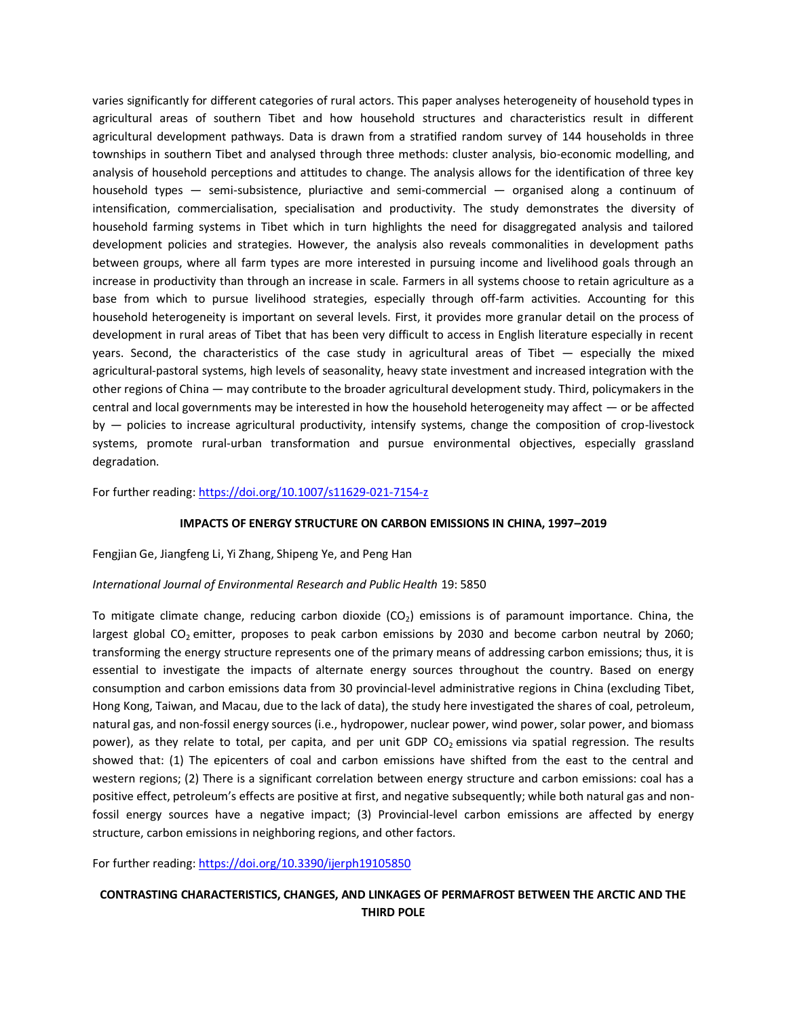varies significantly for different categories of rural actors. This paper analyses heterogeneity of household types in agricultural areas of southern Tibet and how household structures and characteristics result in different agricultural development pathways. Data is drawn from a stratified random survey of 144 households in three townships in southern Tibet and analysed through three methods: cluster analysis, bio-economic modelling, and analysis of household perceptions and attitudes to change. The analysis allows for the identification of three key household types — semi-subsistence, pluriactive and semi-commercial — organised along a continuum of intensification, commercialisation, specialisation and productivity. The study demonstrates the diversity of household farming systems in Tibet which in turn highlights the need for disaggregated analysis and tailored development policies and strategies. However, the analysis also reveals commonalities in development paths between groups, where all farm types are more interested in pursuing income and livelihood goals through an increase in productivity than through an increase in scale. Farmers in all systems choose to retain agriculture as a base from which to pursue livelihood strategies, especially through off-farm activities. Accounting for this household heterogeneity is important on several levels. First, it provides more granular detail on the process of development in rural areas of Tibet that has been very difficult to access in English literature especially in recent years. Second, the characteristics of the case study in agricultural areas of Tibet — especially the mixed agricultural-pastoral systems, high levels of seasonality, heavy state investment and increased integration with the other regions of China — may contribute to the broader agricultural development study. Third, policymakers in the central and local governments may be interested in how the household heterogeneity may affect — or be affected by — policies to increase agricultural productivity, intensify systems, change the composition of crop-livestock systems, promote rural-urban transformation and pursue environmental objectives, especially grassland degradation.

For further reading[: https://doi.org/10.1007/s11629-021-7154-z](https://doi.org/10.1007/s11629-021-7154-z)

### **IMPACTS OF ENERGY STRUCTURE ON CARBON EMISSIONS IN CHINA, 1997–2019**

### [Fengjian Ge,](https://sciprofiles.com/profile/1466563) [Jiangfeng Li,](https://sciprofiles.com/profile/363530) [Yi Zhang,](https://sciprofiles.com/profile/author/WFlQVFBmOWxxVVNzWWpMZTdQNFFGTHpRYlFBNkVSM0NnTmUyY3BLclQ4bz0=) [Shipeng Ye,](https://sciprofiles.com/profile/author/YWZGem5FWE0vd1B6bVJ0YndNaGdpMXB3UVRxMDUrV2s0YjFJM09ZT2g0Yz0=) and [Peng Han](https://sciprofiles.com/profile/author/SmhzbGRmMGZCY1ZqYi8zK2F2N3A1LytSeWZwVnM3b1pBSnF1TXN0SzFNMD0=)

### *International Journal of Environmental Research and Public Health* 19: 5850

To mitigate climate change, reducing carbon dioxide  $(CO<sub>2</sub>)$  emissions is of paramount importance. China, the largest global  $CO<sub>2</sub>$  emitter, proposes to peak carbon emissions by 2030 and become carbon neutral by 2060; transforming the energy structure represents one of the primary means of addressing carbon emissions; thus, it is essential to investigate the impacts of alternate energy sources throughout the country. Based on energy consumption and carbon emissions data from 30 provincial-level administrative regions in China (excluding Tibet, Hong Kong, Taiwan, and Macau, due to the lack of data), the study here investigated the shares of coal, petroleum, natural gas, and non-fossil energy sources (i.e., hydropower, nuclear power, wind power, solar power, and biomass power), as they relate to total, per capita, and per unit GDP  $CO<sub>2</sub>$  emissions via spatial regression. The results showed that: (1) The epicenters of coal and carbon emissions have shifted from the east to the central and western regions; (2) There is a significant correlation between energy structure and carbon emissions: coal has a positive effect, petroleum's effects are positive at first, and negative subsequently; while both natural gas and nonfossil energy sources have a negative impact; (3) Provincial-level carbon emissions are affected by energy structure, carbon emissions in neighboring regions, and other factors.

For further reading[: https://doi.org/10.3390/ijerph19105850](https://doi.org/10.3390/ijerph19105850)

# **CONTRASTING CHARACTERISTICS, CHANGES, AND LINKAGES OF PERMAFROST BETWEEN THE ARCTIC AND THE THIRD POLE**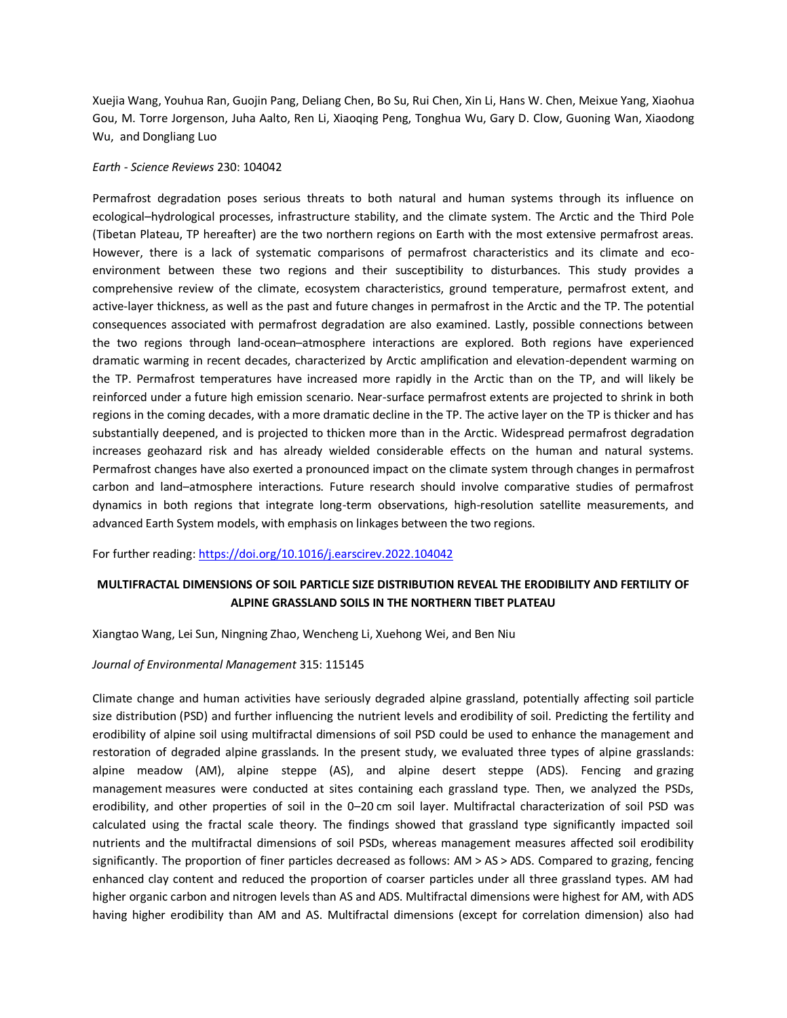[Xuejia Wang, Youhua Ran, Guojin Pang, Deliang Chen, Bo Su, Rui Chen, Xin Li, Hans W.](https://www.sciencedirect.com/science/article/abs/pii/S001282522200126X#!) Chen[, Meixue Yang, Xiaohua](https://www.sciencedirect.com/science/article/abs/pii/S001282522200126X#!)  [Gou, M. Torre Jorgenson, Juha Aalto, Ren Li, Xiaoqing Peng, Tonghua Wu, Gary D.](https://www.sciencedirect.com/science/article/abs/pii/S001282522200126X#!) Clow, [Guoning](https://www.sciencedirect.com/science/article/abs/pii/S001282522200126X#!) Wan, [Xiaodong](https://www.sciencedirect.com/science/article/abs/pii/S001282522200126X#!) [Wu,](https://www.sciencedirect.com/science/article/abs/pii/S001282522200126X#!) an[d Dongliang](https://www.sciencedirect.com/science/article/abs/pii/S001282522200126X#!) Luo

#### *Earth - [Science Reviews](https://www.sciencedirect.com/journal/earth-science-reviews)* [230:](https://www.sciencedirect.com/journal/earth-science-reviews) 104042

Permafrost degradation poses serious threats to both natural and human systems through its influence on ecological–hydrological processes, infrastructure stability, and the climate system. The Arctic and the Third Pole (Tibetan Plateau, TP hereafter) are the two northern regions on Earth with the most extensive permafrost areas. However, there is a lack of systematic comparisons of permafrost characteristics and its climate and ecoenvironment between these two regions and their susceptibility to disturbances. This study provides a comprehensive review of the climate, ecosystem characteristics, ground temperature, permafrost extent, and active-layer thickness, as well as the past and future changes in permafrost in the Arctic and the TP. The potential consequences associated with permafrost degradation are also examined. Lastly, possible connections between the two regions through land-ocean–atmosphere interactions are explored. Both regions have experienced dramatic warming in recent decades, characterized by Arctic amplification and elevation-dependent warming on the TP. Permafrost temperatures have increased more rapidly in the Arctic than on the TP, and will likely be reinforced under a future high emission scenario. Near-surface permafrost extents are projected to shrink in both regions in the coming decades, with a more dramatic decline in the TP. The active layer on the TP is thicker and has substantially deepened, and is projected to thicken more than in the Arctic. Widespread permafrost degradation increases geohazard risk and has already wielded considerable effects on the human and natural systems. Permafrost changes have also exerted a pronounced impact on the climate system through changes in permafrost carbon and land–atmosphere interactions. Future research should involve comparative studies of permafrost dynamics in both regions that integrate long-term observations, high-resolution satellite measurements, and advanced Earth System models, with emphasis on linkages between the two regions.

For further reading[: https://doi.org/10.1016/j.earscirev.2022.104042](https://doi.org/10.1016/j.earscirev.2022.104042)

## **MULTIFRACTAL DIMENSIONS OF SOIL PARTICLE SIZE DISTRIBUTION REVEAL THE ERODIBILITY AND FERTILITY OF ALPINE GRASSLAND SOILS IN THE NORTHERN TIBET PLATEAU**

[Xiangtao Wang, Lei Sun, Ningning Zhao, Wencheng Li, Xuehong Wei,](https://www.sciencedirect.com/science/article/pii/S0301479722007186#!) an[d Ben Niu](https://www.sciencedirect.com/science/article/pii/S0301479722007186#!)

### *[Journal of Environmental Management](https://www.sciencedirect.com/journal/journal-of-environmental-management)* 315: 115145

Climate change and human activities have seriously degraded alpine grassland, potentially affecting soil [particle](https://www.sciencedirect.com/topics/earth-and-planetary-sciences/particle-size-distribution)  [size distribution](https://www.sciencedirect.com/topics/earth-and-planetary-sciences/particle-size-distribution) (PSD) and further influencing the nutrient levels and [erodibility](https://www.sciencedirect.com/topics/earth-and-planetary-sciences/erodibility) of soil. Predicting the fertility and erodibility of alpine soil using multifractal dimensions of soil PSD could be used to enhance the management and restoration of degraded alpine grasslands. In the present study, we evaluated three types of alpine grasslands: alpine meadow (AM), alpine steppe (AS), and alpine desert steppe (ADS). Fencing and [grazing](https://www.sciencedirect.com/topics/earth-and-planetary-sciences/grazing-management)  [management](https://www.sciencedirect.com/topics/earth-and-planetary-sciences/grazing-management) measures were conducted at sites containing each grassland type. Then, we analyzed the PSDs, erodibility, and other properties of soil in the 0–20 cm soil layer. Multifractal characterization of soil PSD was calculated using the fractal scale theory. The findings showed that grassland type significantly impacted soil nutrients and the multifractal dimensions of soil PSDs, whereas management measures affected soil erodibility significantly. The proportion of finer particles decreased as follows: AM > AS > ADS. Compared to grazing, fencing enhanced clay content and reduced the proportion of coarser particles under all three grassland types. AM had higher [organic carbon](https://www.sciencedirect.com/topics/earth-and-planetary-sciences/organic-carbon) and nitrogen levels than AS and ADS. Multifractal dimensions were highest for AM, with ADS having higher erodibility than AM and AS. Multifractal dimensions (except for correlation dimension) also had